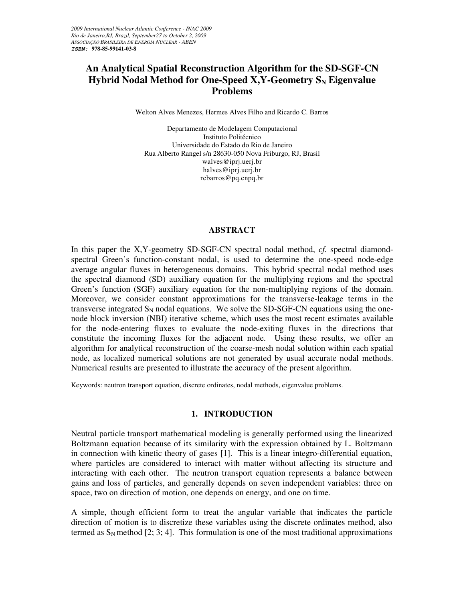# **An Analytical Spatial Reconstruction Algorithm for the SD-SGF-CN Hybrid Nodal Method for One-Speed X,Y-Geometry SN Eigenvalue Problems**

Welton Alves Menezes, Hermes Alves Filho and Ricardo C. Barros

Departamento de Modelagem Computacional Instituto Politécnico Universidade do Estado do Rio de Janeiro Rua Alberto Rangel s/n 28630-050 Nova Friburgo, RJ, Brasil walves@iprj.uerj.br halves@iprj.uerj.br rcbarros@pq.cnpq.br

## **ABSTRACT**

In this paper the X,Y-geometry SD-SGF-CN spectral nodal method, *cf.* spectral diamondspectral Green's function-constant nodal, is used to determine the one-speed node-edge average angular fluxes in heterogeneous domains. This hybrid spectral nodal method uses the spectral diamond (SD) auxiliary equation for the multiplying regions and the spectral Green's function (SGF) auxiliary equation for the non-multiplying regions of the domain. Moreover, we consider constant approximations for the transverse-leakage terms in the transverse integrated  $S_N$  nodal equations. We solve the SD-SGF-CN equations using the onenode block inversion (NBI) iterative scheme, which uses the most recent estimates available for the node-entering fluxes to evaluate the node-exiting fluxes in the directions that constitute the incoming fluxes for the adjacent node. Using these results, we offer an algorithm for analytical reconstruction of the coarse-mesh nodal solution within each spatial node, as localized numerical solutions are not generated by usual accurate nodal methods. Numerical results are presented to illustrate the accuracy of the present algorithm.

Keywords: neutron transport equation, discrete ordinates, nodal methods, eigenvalue problems.

# **1. INTRODUCTION**

Neutral particle transport mathematical modeling is generally performed using the linearized Boltzmann equation because of its similarity with the expression obtained by L. Boltzmann in connection with kinetic theory of gases [1]. This is a linear integro-differential equation, where particles are considered to interact with matter without affecting its structure and interacting with each other. The neutron transport equation represents a balance between gains and loss of particles, and generally depends on seven independent variables: three on space, two on direction of motion, one depends on energy, and one on time.

A simple, though efficient form to treat the angular variable that indicates the particle direction of motion is to discretize these variables using the discrete ordinates method, also termed as  $S_N$  method [2; 3; 4]. This formulation is one of the most traditional approximations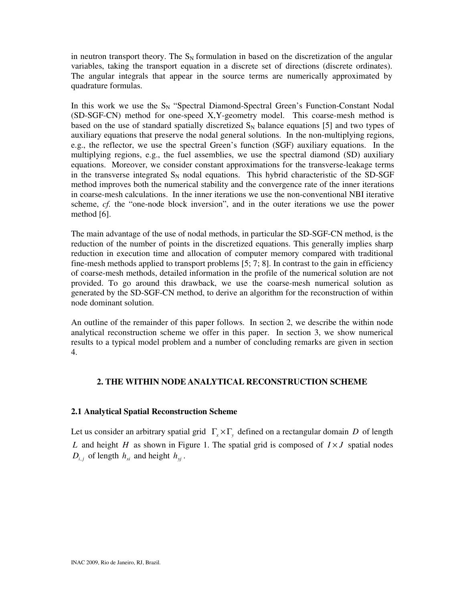in neutron transport theory. The  $S_N$  formulation in based on the discretization of the angular variables, taking the transport equation in a discrete set of directions (discrete ordinates). The angular integrals that appear in the source terms are numerically approximated by quadrature formulas.

In this work we use the  $S_N$  "Spectral Diamond-Spectral Green's Function-Constant Nodal (SD-SGF-CN) method for one-speed X,Y-geometry model. This coarse-mesh method is based on the use of standard spatially discretized  $S_N$  balance equations [5] and two types of auxiliary equations that preserve the nodal general solutions. In the non-multiplying regions, e.g., the reflector, we use the spectral Green's function (SGF) auxiliary equations. In the multiplying regions, e.g., the fuel assemblies, we use the spectral diamond (SD) auxiliary equations. Moreover, we consider constant approximations for the transverse-leakage terms in the transverse integrated  $S_N$  nodal equations. This hybrid characteristic of the SD-SGF method improves both the numerical stability and the convergence rate of the inner iterations in coarse-mesh calculations. In the inner iterations we use the non-conventional NBI iterative scheme, *cf.* the "one-node block inversion", and in the outer iterations we use the power method [6].

The main advantage of the use of nodal methods, in particular the SD-SGF-CN method, is the reduction of the number of points in the discretized equations. This generally implies sharp reduction in execution time and allocation of computer memory compared with traditional fine-mesh methods applied to transport problems [5; 7; 8]. In contrast to the gain in efficiency of coarse-mesh methods, detailed information in the profile of the numerical solution are not provided. To go around this drawback, we use the coarse-mesh numerical solution as generated by the SD-SGF-CN method, to derive an algorithm for the reconstruction of within node dominant solution.

An outline of the remainder of this paper follows. In section 2, we describe the within node analytical reconstruction scheme we offer in this paper. In section 3, we show numerical results to a typical model problem and a number of concluding remarks are given in section 4.

# **2. THE WITHIN NODE ANALYTICAL RECONSTRUCTION SCHEME**

# **2.1 Analytical Spatial Reconstruction Scheme**

Let us consider an arbitrary spatial grid  $\Gamma_x \times \Gamma_y$  defined on a rectangular domain *D* of length *L* and height *H* as shown in Figure 1. The spatial grid is composed of  $I \times J$  spatial nodes  $D_{i,j}$  of length  $h_{xi}$  and height  $h_{yi}$ .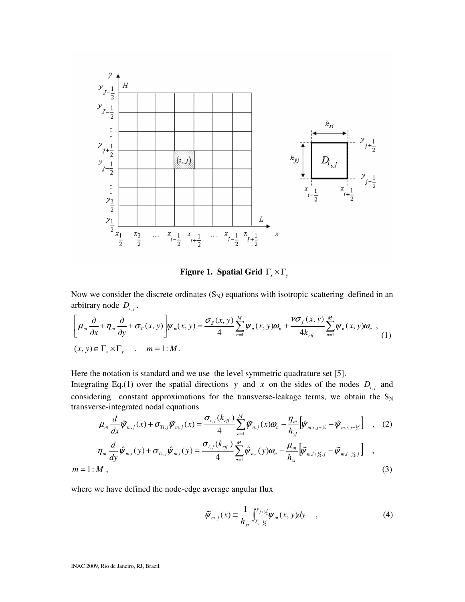

**Figure 1. Spatial Grid**  $\Gamma_x \times \Gamma_y$ 

Now we consider the discrete ordinates  $(S_N)$  equations with isotropic scattering defined in an arbitrary node  $D_{i,j}$ .

$$
\left[\mu_m \frac{\partial}{\partial x} + \eta_m \frac{\partial}{\partial y} + \sigma_T(x, y)\right] \psi_m(x, y) = \frac{\sigma_s(x, y)}{4} \sum_{n=1}^M \psi_n(x, y) \omega_n + \frac{\nu \sigma_f(x, y)}{4k_{\text{eff}}} \sum_{n=1}^M \psi_n(x, y) \omega_n,
$$
\n
$$
(1)
$$
\n
$$
(x, y) \in \Gamma_x \times \Gamma_y, \quad m = 1: M.
$$

Here the notation is standard and we use the level symmetric quadrature set [5]. Integrating Eq.(1) over the spatial directions *y* and *x* on the sides of the nodes  $D_{i,j}$  and considering constant approximations for the transverse-leakage terms, we obtain the  $S_N$ transverse-integrated nodal equations

$$
\mu_m \frac{d}{dx} \widetilde{\psi}_{m,j}(x) + \sigma_{Ti,j} \widetilde{\psi}_{m,j}(x) = \frac{\sigma_{i,j}(k_{\text{eff}})}{4} \sum_{n=1}^M \widetilde{\psi}_{n,j}(x) \omega_n - \frac{\eta_m}{h_{yj}} \left[ \widetilde{\psi}_{m,i,j+\frac{1}{2}} - \widetilde{\psi}_{m,i,j-\frac{1}{2}} \right] , \quad (2)
$$
  

$$
\eta_m \frac{d}{dy} \widetilde{\psi}_{m,i}(y) + \sigma_{Ti,j} \widetilde{\psi}_{m,i}(y) = \frac{\sigma_{i,j}(k_{\text{eff}})}{4} \sum_{n=1}^M \widetilde{\psi}_{n,i}(y) \omega_n - \frac{\mu_m}{h_{xi}} \left[ \widetilde{\psi}_{m,i+\frac{1}{2},j} - \widetilde{\psi}_{m,i-\frac{1}{2},j} \right] ,
$$

 $m = 1 : M$ , (3)

where we have defined the node-edge average angular flux

$$
\widetilde{\psi}_{m,j}(x) \equiv \frac{1}{h_{yj}} \int_{y_{j-\lambda'_2}}^{y_{j+\lambda'_2}} \psi_m(x, y) dy \quad , \tag{4}
$$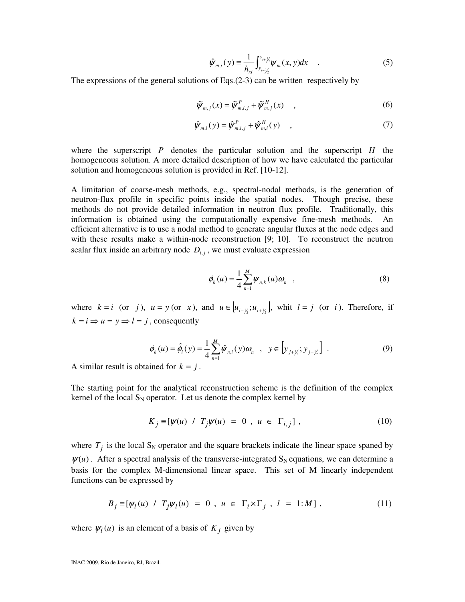$$
\hat{\psi}_{m,i}(y) = \frac{1}{h_{xi}} \int_{y_{i} - y_{2}}^{y_{i} + y_{2}} \psi_{m}(x, y) dx
$$
 (5)

The expressions of the general solutions of Eqs.(2-3) can be written respectively by

$$
\widetilde{\psi}_{m,j}(x) = \widetilde{\psi}_{m,i,j}^P + \widetilde{\psi}_{m,j}^H(x) \quad , \tag{6}
$$

$$
\hat{\psi}_{m,i}(y) = \hat{\psi}_{m,i,j}^P + \hat{\psi}_{m,i}^H(y) \quad , \tag{7}
$$

where the superscript *P* denotes the particular solution and the superscript *H* the homogeneous solution. A more detailed description of how we have calculated the particular solution and homogeneous solution is provided in Ref. [10-12].

A limitation of coarse-mesh methods, e.g., spectral-nodal methods, is the generation of neutron-flux profile in specific points inside the spatial nodes. Though precise, these methods do not provide detailed information in neutron flux profile. Traditionally, this information is obtained using the computationally expensive fine-mesh methods. An efficient alternative is to use a nodal method to generate angular fluxes at the node edges and with these results make a within-node reconstruction [9; 10]. To reconstruct the neutron scalar flux inside an arbitrary node  $D_{i,j}$ , we must evaluate expression

$$
\phi_k(u) = \frac{1}{4} \sum_{n=1}^{M} \psi_{n,k}(u) \omega_n \quad , \tag{8}
$$

where  $k = i$  (or *j*),  $u = y$  (or *x*), and  $u \in [u_{l-\frac{1}{2}}; u_{l+\frac{1}{2}}]$ , whit  $l = j$  (or *i*). Therefore, if  $k = i \implies u = y \implies l = j$ , consequently

$$
\phi_k(u) = \hat{\phi}_i(y) = \frac{1}{4} \sum_{n=1}^{M} \hat{\psi}_{n,i}(y) \omega_n, \quad y \in [y_{j+\frac{1}{2}}; y_{j-\frac{1}{2}}].
$$
\n(9)

A similar result is obtained for  $k = j$ .

The starting point for the analytical reconstruction scheme is the definition of the complex kernel of the local  $S_N$  operator. Let us denote the complex kernel by

$$
K_j \equiv [\psi(u) \ / \ T_j \psi(u) = 0 \ , \ u \in \Gamma_{i,j} ] \ , \tag{10}
$$

where  $T_j$  is the local  $S_N$  operator and the square brackets indicate the linear space spaned by  $\psi(u)$ . After a spectral analysis of the transverse-integrated  $S_N$  equations, we can determine a basis for the complex M-dimensional linear space. This set of M linearly independent functions can be expressed by

$$
B_j \equiv [\psi_l(u) \ / \ T_j \psi_l(u) = 0 \ , \ u \in \Gamma_i \times \Gamma_j \ , \ l = 1:M], \tag{11}
$$

where  $\psi_l(u)$  is an element of a basis of  $K_j$  given by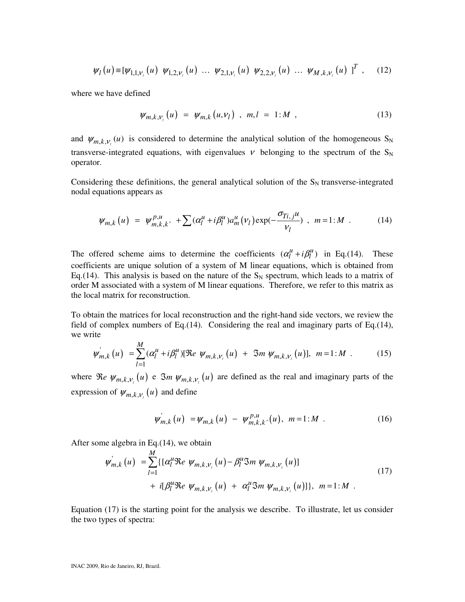$$
\psi_{l}(u) \equiv [\psi_{1,1,\nu_{l}}(u) \ \psi_{1,2,\nu_{l}}(u) \ \dots \ \psi_{2,1,\nu_{l}}(u) \ \psi_{2,2,\nu_{l}}(u) \ \dots \ \psi_{M,k,\nu_{l}}(u) \ ]^{T}, \quad (12)
$$

where we have defined

$$
\psi_{m,k,\nu_i}(u) = \psi_{m,k}(u,\nu_i) \; , \; m,l = 1:M \; , \tag{13}
$$

and  $\psi_{m,k,\nu}(u)$  is considered to determine the analytical solution of the homogeneous S<sub>N</sub> transverse-integrated equations, with eigenvalues  $\nu$  belonging to the spectrum of the S<sub>N</sub> operator.

Considering these definitions, the general analytical solution of the  $S_N$  transverse-integrated nodal equations appears as

$$
\psi_{m,k}(u) = \psi_{m,k,k}^{p,u}, \quad + \sum (\alpha_l^u + i\beta_l^u) a_m^u(\nu_l) \exp(-\frac{\sigma_{Ti,j}u}{\nu_l}) \quad , \quad m = 1:M \quad . \tag{14}
$$

The offered scheme aims to determine the coefficients  $(\alpha_l^u + i \beta_l^u)$  in Eq.(14). These coefficients are unique solution of a system of M linear equations, which is obtained from Eq.(14). This analysis is based on the nature of the  $S_N$  spectrum, which leads to a matrix of order M associated with a system of M linear equations. Therefore, we refer to this matrix as the local matrix for reconstruction.

To obtain the matrices for local reconstruction and the right-hand side vectors, we review the field of complex numbers of Eq.(14). Considering the real and imaginary parts of Eq.(14), we write

$$
\psi_{m,k}'(u) = \sum_{l=1}^{M} (\alpha_l^u + i \beta_l^u) [\Re e \ \psi_{m,k,\nu_l}(u) + \Im m \ \psi_{m,k,\nu_l}(u)], \ m = 1: M \ . \tag{15}
$$

where  $\Re e \psi_{m,k,\nu}(u)$  e  $\Im m \psi_{m,k,\nu}(u)$  are defined as the real and imaginary parts of the expression of  $\psi_{m, k, v_i}(u)$  and define

$$
\psi_{m,k}'(u) = \psi_{m,k}(u) - \psi_{m,k,k'}^{p,u}(u), \quad m = 1:M
$$
 (16)

After some algebra in Eq.(14), we obtain

$$
\psi_{m,k}^{'}(u) = \sum_{l=1}^{M} \{ [\alpha_l^u \Re e \ \psi_{m,k,\nu_l}(u) - \beta_l^u \Im m \ \psi_{m,k,\nu_l}(u)] + i [\beta_l^u \Re e \ \psi_{m,k,\nu_l}(u) + \alpha_l^u \Im m \ \psi_{m,k,\nu_l}(u)] \}, \quad m=1:M
$$
\n(17)

Equation (17) is the starting point for the analysis we describe. To illustrate, let us consider the two types of spectra: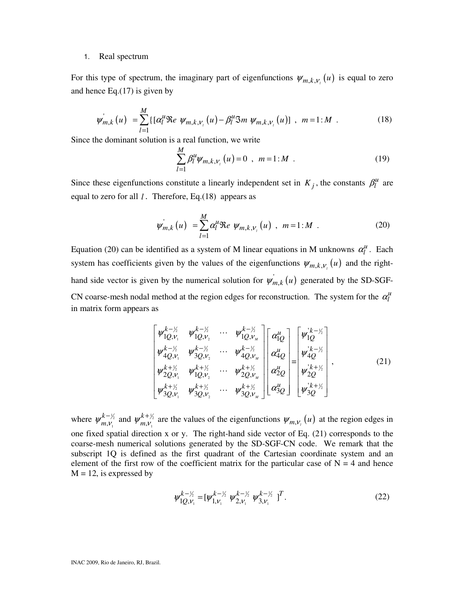#### 1. Real spectrum

For this type of spectrum, the imaginary part of eigenfunctions  $\psi_{m,k,\nu}(u)$  is equal to zero and hence Eq.(17) is given by

$$
\psi_{m,k}'(u) = \sum_{l=1}^{M} \{ [\alpha_l^u \Re e \ \psi_{m,k,\nu_l}(u) - \beta_l^u \Im m \ \psi_{m,k,\nu_l}(u)] \ , \ m=1: M \ . \tag{18}
$$

Since the dominant solution is a real function, we write

$$
\sum_{l=1}^{M} \beta_{l}^{u} \psi_{m,k,\nu_{l}}(u) = 0 \, , \, m = 1 : M \, . \tag{19}
$$

Since these eigenfunctions constitute a linearly independent set in  $K_j$ , the constants  $\beta_l^u$  are equal to zero for all *l* . Therefore, Eq.(18) appears as

$$
\psi_{m,k}'(u) = \sum_{l=1}^{M} \alpha_l^u \Re e \ \psi_{m,k,\nu_l}(u) \ , \ m = 1:M \ . \tag{20}
$$

Equation (20) can be identified as a system of M linear equations in M unknowns  $\alpha_l^u$ . Each system has coefficients given by the values of the eigenfunctions  $\psi_{m,k,\mathcal{V}_i}(u)$  and the righthand side vector is given by the numerical solution for  $\psi_{m,k}^{'}(u)$  generated by the SD-SGF-CN coarse-mesh nodal method at the region edges for reconstruction. The system for the  $\alpha_l^u$ in matrix form appears as

$$
\begin{bmatrix}\n\psi_{1Q,\nu_{1}}^{k-\gamma_{2}} & \psi_{1Q,\nu_{2}}^{k-\gamma_{2}} & \cdots & \psi_{1Q,\nu_{M}}^{k-\gamma_{2}} \\
\psi_{4Q,\nu_{1}}^{k-\gamma_{2}} & \psi_{3Q,\nu_{2}}^{k-\gamma_{2}} & \cdots & \psi_{4Q,\nu_{M}}^{k-\gamma_{2}} \\
\psi_{2Q,\nu_{1}}^{k+\gamma_{2}} & \psi_{1Q,\nu_{2}}^{k+\gamma_{2}} & \cdots & \psi_{2Q,\nu_{M}}^{k+\gamma_{2}} \\
\psi_{3Q,\nu_{1}}^{k+\gamma_{2}} & \psi_{3Q,\nu_{2}}^{k+\gamma_{2}} & \cdots & \psi_{3Q,\nu_{M}}^{k+\gamma_{2}}\n\end{bmatrix}\n\begin{bmatrix}\n\alpha_{1Q}^{u} \\
\alpha_{1Q}^{u} \\
\alpha_{2Q}^{u} \\
\alpha_{3Q}^{u}\n\end{bmatrix} = \begin{bmatrix}\n\psi_{1Q}^{k-\gamma_{2}} \\
\psi_{1Q}^{k-\gamma_{2}} \\
\psi_{2Q}^{k+\gamma_{2}} \\
\psi_{2Q}^{k+\gamma_{2}} \\
\psi_{3Q}^{k+\gamma_{2}}\n\end{bmatrix},
$$
\n(21)

where  $\psi_{m}^{k-\frac{1}{2}}$  $\mathcal{V}_1$ *k*  $\psi_{m,v_1}^{k-\frac{1}{2}}$  and  $\psi_{m,v_1}^{k+\frac{1}{2}}$  $\mathcal{V}_1$ *k*  $\psi_{m,V_i}^{k+\frac{1}{2}}$  are the values of the eigenfunctions  $\psi_{m,V_i}(u)$  at the region edges in one fixed spatial direction x or y. The right-hand side vector of Eq. (21) corresponds to the coarse-mesh numerical solutions generated by the SD-SGF-CN code. We remark that the subscript 1Q is defined as the first quadrant of the Cartesian coordinate system and an element of the first row of the coefficient matrix for the particular case of  $N = 4$  and hence  $M = 12$ , is expressed by

$$
\psi_{1Q,\nu_{i}}^{k-\frac{1}{2}} = [\psi_{1,\nu_{i}}^{k-\frac{1}{2}} \ \psi_{2,\nu_{i}}^{k-\frac{1}{2}} \ \psi_{3,\nu_{i}}^{k-\frac{1}{2}} \ ]^{T}.
$$
\n(22)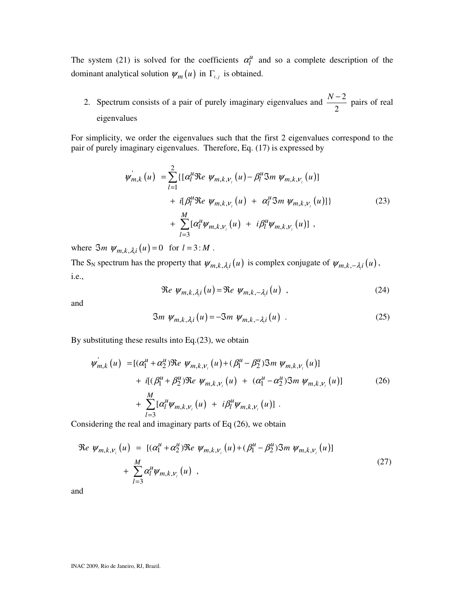The system (21) is solved for the coefficients  $\alpha_l^u$  and so a complete description of the dominant analytical solution  $\psi_m(u)$  in  $\Gamma_{i,j}$  is obtained.

2. Spectrum consists of a pair of purely imaginary eigenvalues and  $\frac{N-2}{2}$ 2  $\frac{N-2}{N}$  pairs of real eigenvalues

For simplicity, we order the eigenvalues such that the first 2 eigenvalues correspond to the pair of purely imaginary eigenvalues. Therefore, Eq. (17) is expressed by

$$
\psi_{m,k}^{'}(u) = \sum_{l=1}^{2} \{ [\alpha_{l}^{u} \Re e \ \psi_{m,k,V_{l}}(u) - \beta_{l}^{u} \Im m \ \psi_{m,k,V_{l}}(u)] + i [\beta_{l}^{u} \Re e \ \psi_{m,k,V_{l}}(u) + \alpha_{l}^{u} \Im m \ \psi_{m,k,V_{l}}(u)] \} + \sum_{l=3}^{M} [\alpha_{l}^{u} \psi_{m,k,V_{l}}(u) + i \beta_{l}^{u} \psi_{m,k,V_{l}}(u)] ,
$$
\n(23)

where  $\Im m \psi_{m,k,\lambda_i} (u) = 0$  for  $l = 3 : M$ .

The S<sub>N</sub> spectrum has the property that  $\psi_{m,k,\lambda_i}(u)$  is complex conjugate of  $\psi_{m,k,-\lambda_i}(u)$ , i.e.,

$$
\Re e \ \psi_{m,k,\lambda_i}(u) = \Re e \ \psi_{m,k,-\lambda_i}(u) \quad , \tag{24}
$$

and

$$
\mathfrak{Im} \ \psi_{m,k,\lambda_i}(u) = -\mathfrak{Im} \ \psi_{m,k,-\lambda_i}(u) \tag{25}
$$

By substituting these results into Eq.(23), we obtain

$$
\psi_{m,k}^{'}(u) = [(\alpha_1^u + \alpha_2^u)\Re e \ \psi_{m,k,\nu_i}(u) + (\beta_1^u - \beta_2^u)\Im m \ \psi_{m,k,\nu_i}(u)] + i[(\beta_1^u + \beta_2^u)\Re e \ \psi_{m,k,\nu_i}(u) + (\alpha_1^u - \alpha_2^u)\Im m \ \psi_{m,k,\nu_i}(u)] + \sum_{l=3}^M [\alpha_l^u \psi_{m,k,\nu_l}(u) + i\beta_l^u \psi_{m,k,\nu_l}(u)].
$$
\n(26)

Considering the real and imaginary parts of Eq (26), we obtain

$$
\Re e \ \psi_{m,k,\nu_i}(u) = [(\alpha_1^u + \alpha_2^u) \Re e \ \psi_{m,k,\nu_i}(u) + (\beta_1^u - \beta_2^u) \Im m \ \psi_{m,k,\nu_i}(u)] + \sum_{l=3}^M \alpha_l^u \psi_{m,k,\nu_i}(u) ,
$$
\n(27)

and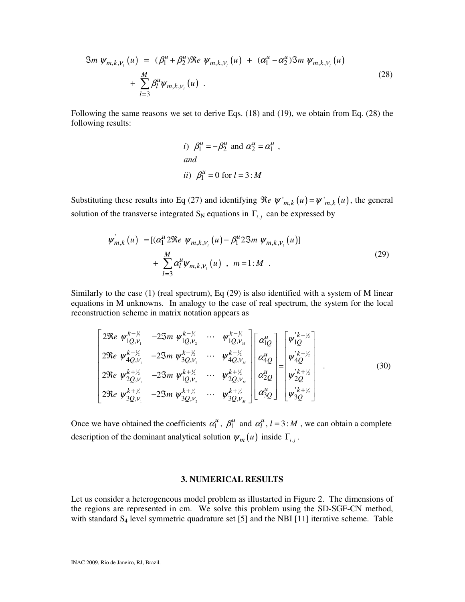$$
\Im m \psi_{m,k,\nu_i}(u) = (\beta_1^u + \beta_2^u) \Re e \psi_{m,k,\nu_i}(u) + (\alpha_1^u - \alpha_2^u) \Im m \psi_{m,k,\nu_i}(u) + \sum_{l=3}^M \beta_l^u \psi_{m,k,\nu_i}(u) .
$$
 (28)

Following the same reasons we set to derive Eqs. (18) and (19), we obtain from Eq. (28) the following results:

*i*) 
$$
\beta_1^u = -\beta_2^u
$$
 and  $\alpha_2^u = \alpha_1^u$ ,  
and  
*ii*)  $\beta_1^u = 0$  for  $l = 3:M$ 

Substituting these results into Eq (27) and identifying  $\Re e \psi_{m,k}(u) = \psi_{m,k}(u)$ , the general solution of the transverse integrated  $S_N$  equations in  $\Gamma_{i,j}$  can be expressed by

$$
\psi_{m,k}'(u) = [(\alpha_1^u 2\Re e \ \psi_{m,k,\nu_i}(u) - \beta_1^u 2\Im m \ \psi_{m,k,\nu_i}(u)] + \sum_{l=3}^M \alpha_l^u \psi_{m,k,\nu_l}(u) , \ m = 1:M .
$$
\n(29)

Similarly to the case (1) (real spectrum), Eq (29) is also identified with a system of M linear equations in M unknowns. In analogy to the case of real spectrum, the system for the local reconstruction scheme in matrix notation appears as

$$
\begin{bmatrix}\n2\Re e \ \psi_{1Q,\nu_1}^{k-\nu_2} & -2\Im m \ \psi_{1Q,\nu_2}^{k-\nu_2} & \cdots & \psi_{1Q,\nu_M}^{k-\nu_2} \\
2\Re e \ \psi_{4Q,\nu_1}^{k-\nu_2} & -2\Im m \ \psi_{3Q,\nu_2}^{k-\nu_2} & \cdots & \psi_{4Q,\nu_M}^{k-\nu_2} \\
2\Re e \ \psi_{2Q,\nu_1}^{k+\nu_2} & -2\Im m \ \psi_{1Q,\nu_2}^{k+\nu_2} & \cdots & \psi_{2Q,\nu_M}^{k+\nu_2} \\
2\Re e \ \psi_{3Q,\nu_1}^{k+\nu_2} & -2\Im m \ \psi_{3Q,\nu_2}^{k+\nu_2} & \cdots & \psi_{3Q,\nu_M}^{k+\nu_2}\n\end{bmatrix}\n\begin{bmatrix}\n\alpha_{1Q}^{u} \\
\alpha_{4Q}^{u} \\
\alpha_{2Q}^{u} \\
\alpha_{3Q}^{u}\n\end{bmatrix} = \n\begin{bmatrix}\n\psi_{1Q}^{k-\nu_2} \\
\psi_{4Q}^{k-\nu_2} \\
\psi_{2Q}^{k+\nu_2} \\
\psi_{3Q}^{k+\nu_2} \\
\psi_{3Q}^{k+\nu_2}\n\end{bmatrix}.\n\tag{30}
$$

Once we have obtained the coefficients  $\alpha_1^{\mu}$ ,  $\beta_1^{\mu}$  and  $\alpha_i^{\mu}$ ,  $l = 3 : M$ , we can obtain a complete description of the dominant analytical solution  $\psi_m(u)$  inside  $\Gamma_{i,j}$ .

#### **3. NUMERICAL RESULTS**

Let us consider a heterogeneous model problem as illustarted in Figure 2. The dimensions of the regions are represented in cm. We solve this problem using the SD-SGF-CN method, with standard  $S_4$  level symmetric quadrature set [5] and the NBI [11] iterative scheme. Table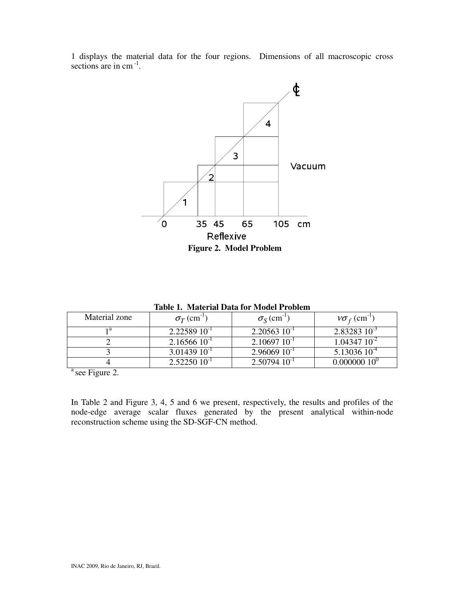1 displays the material data for the four regions. Dimensions of all macroscopic cross sections are in cm $^{-1}$ .



| <b>Table 1. Material Data for Model Problem</b> |                                |                                      |                                 |  |  |  |
|-------------------------------------------------|--------------------------------|--------------------------------------|---------------------------------|--|--|--|
| Material zone                                   | $\sigma_T$ (cm <sup>-1</sup> ) | $\sigma_{\rm S}$ (cm <sup>-1</sup> ) | $v\sigma_f$ (cm <sup>-1</sup> ) |  |  |  |
|                                                 | $2.2258910^{-1}$               | $2.2056310^{-1}$                     | $2.8328310^{-3}$                |  |  |  |
|                                                 | $2.1656610^{-1}$               | $2.1069710^{-1}$                     | $1.04347$ $10^{-2}$             |  |  |  |
|                                                 | $3.0143910^{-1}$               | $2.9606910^{-1}$                     | $5.1303610^{4}$                 |  |  |  |
|                                                 | $2.5225010^{-1}$               | $2.5079410^{-1}$                     | $0.00000010^0$                  |  |  |  |

 $a$  see Figure 2.

In Table 2 and Figure 3, 4, 5 and 6 we present, respectively, the results and profiles of the node-edge average scalar fluxes generated by the present analytical within-node reconstruction scheme using the SD-SGF-CN method.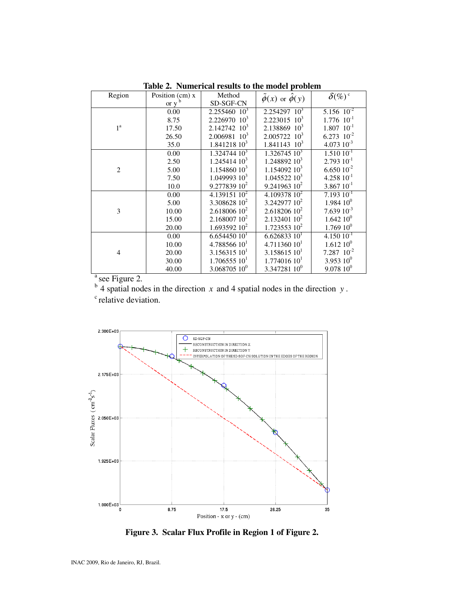| Region           | Position (cm) x | Method                    | $\phi(x)$ or $\phi(y)$    | $\delta$ (%) <sup>c</sup> |
|------------------|-----------------|---------------------------|---------------------------|---------------------------|
|                  | or $y^b$        | SD-SGF-CN                 |                           |                           |
| $1^{\mathrm{a}}$ | 0.00            | $2.255460 \ 10^3$         | $2.254297$ $10^3$         | 5.156 $10^{-2}$           |
|                  | 8.75            | $2.226970 \cdot 10^3$     | $2.223015$ $10^3$         | $1.776 \ 10^{-1}$         |
|                  | 17.50           | $2.142742 \cdot 10^3$     | $2.138869$ $10^3$         | $1.807 \ 10^{-1}$         |
|                  | 26.50           | $2.006981 \cdot 10^3$     | $2.005722\;10^3$          | $6.273$ $10^{-2}$         |
|                  | 35.0            | $1.841218\ 10^3$          | $1.841143$ $10^3$         | $4.07310^{-3}$            |
| $\mathfrak{2}$   | 0.00            | $1.32474410^{3}$          | $1.326745\ 10^3$          | $1.51010^{-1}$            |
|                  | 2.50            | 1.24541410 <sup>3</sup>   | $1.248892\ 10^3$          | $2.79310^{1}$             |
|                  | 5.00            | $1.154860\ 10^3$          | $1.154092\ 10^3$          | $6.650\ 10^{-2}$          |
|                  | 7.50            | $1.049993\ 10^3$          | 1.04552210 <sup>3</sup>   | $4.25810^{1}$             |
|                  | 10.0            | $9.27783910^2$            | $9.24196310^{2}$          | $3.86710^{1}$             |
| 3                | 0.00            | 4.139151 $10^2$           | 4.109378 $10^2$           | $7.19310$ <sup>-1</sup>   |
|                  | 5.00            | 3.308628 $10^2$           | $3.24297710^2$            | $1.984~10^{0}$            |
|                  | 10.00           | $2.61800610^2$            | $2.61820610^{2}$          | $7.63910^{3}$             |
|                  | 15.00           | $2.16800710^{2}$          | $2.13240110^2$            | $1.64210$ <sup>0</sup>    |
|                  | 20.00           | $1.693592\ 10^2$          | $1.72355310^{2}$          | $1.769~10^{0}$            |
| 4                | 0.00            | $6.65445010$ <sup>T</sup> | $6.62683310$ <sup>1</sup> | 4.150 $10^{-1}$           |
|                  | 10.00           | 4.788566 $101$            | 4.71136010 <sup>1</sup>   | $1.61210$ <sup>0</sup>    |
|                  | 20.00           | 3.15631510 <sup>1</sup>   | 3.15861510 <sup>1</sup>   | $7.287 \ 10^{-2}$         |
|                  | 30.00           | $1.70655510$ <sup>1</sup> | 1.77401610 <sup>1</sup>   | 3.953 $10^0$              |
|                  | 40.00           | $3.06870510^{0}$          | 3.347281 $10^0$           | $9.078~10^{0}$            |

**Table 2. Numerical results to the model problem**

 $a$  see Figure 2.

 $b<sup>b</sup>$  4 spatial nodes in the direction *x* and 4 spatial nodes in the direction *y*.

 $\cdot$  relative deviation.



 **Figure 3. Scalar Flux Profile in Region 1 of Figure 2.**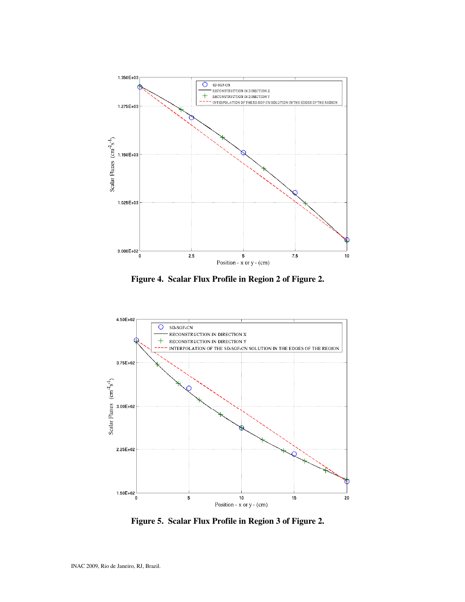

 **Figure 4. Scalar Flux Profile in Region 2 of Figure 2.** 



 **Figure 5. Scalar Flux Profile in Region 3 of Figure 2.**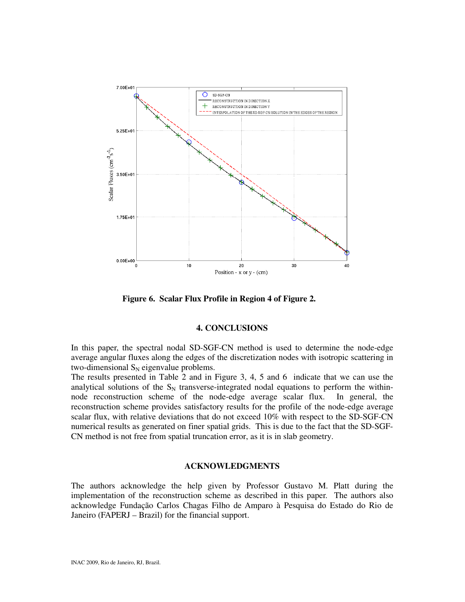

**Figure 6. Scalar Flux Profile in Region 4 of Figure 2.** 

#### **4. CONCLUSIONS**

In this paper, the spectral nodal SD-SGF-CN method is used to determine the node-edge average angular fluxes along the edges of the discretization nodes with isotropic scattering in two-dimensional  $S_N$  eigenvalue problems.

The results presented in Table 2 and in Figure 3, 4, 5 and 6 indicate that we can use the analytical solutions of the  $S_N$  transverse-integrated nodal equations to perform the withinnode reconstruction scheme of the node-edge average scalar flux. In general, the reconstruction scheme provides satisfactory results for the profile of the node-edge average scalar flux, with relative deviations that do not exceed 10% with respect to the SD-SGF-CN numerical results as generated on finer spatial grids. This is due to the fact that the SD-SGF-CN method is not free from spatial truncation error, as it is in slab geometry.

## **ACKNOWLEDGMENTS**

The authors acknowledge the help given by Professor Gustavo M. Platt during the implementation of the reconstruction scheme as described in this paper. The authors also acknowledge Fundação Carlos Chagas Filho de Amparo à Pesquisa do Estado do Rio de Janeiro (FAPERJ – Brazil) for the financial support.